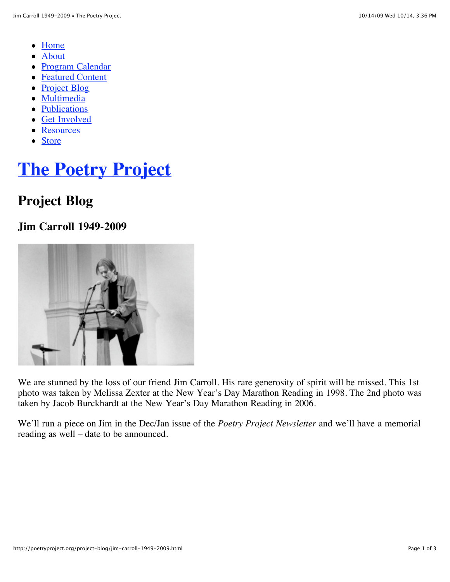- [Home](http://poetryproject.org/)
- [About](http://poetryproject.org/about/mission)
- [Program Calendar](http://poetryproject.org/program-calendar/readings?ec3_after=today)
- [Featured Content](http://poetryproject.org/featured-content/featured-content/reviews)
- [Project Blog](http://poetryproject.org/project-blog)
- [Multimedia](http://poetryproject.org/multimedia/audio)
- [Publications](http://poetryproject.org/publications/newsletter)
- [Get Involved](http://poetryproject.org/get-involved/become-a-member)
- [Resources](http://poetryproject.org/resources/books-received)
- [Store](http://poetryproject.bigcartel.com/)

# **[The Poetry Project](http://poetryproject.org/)**

### **Project Blog**

### **Jim Carroll 1949-2009**



We are stunned by the loss of our friend Jim Carroll. His rare generosity of spirit will be missed. This 1st photo was taken by Melissa Zexter at the New Year's Day Marathon Reading in 1998. The 2nd photo was taken by Jacob Burckhardt at the New Year's Day Marathon Reading in 2006.

We'll run a piece on Jim in the Dec/Jan issue of the *Poetry Project Newsletter* and we'll have a memorial reading as well – date to be announced.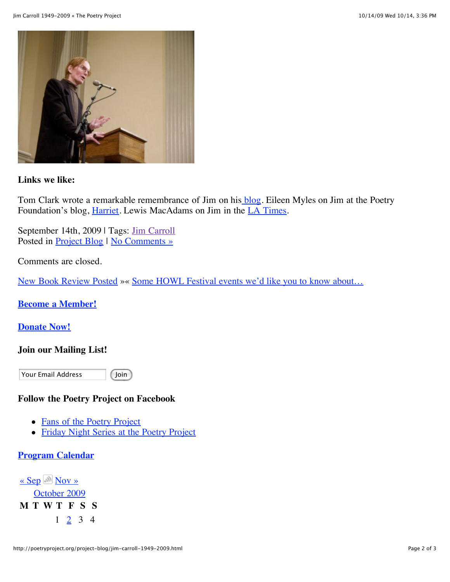

#### **Links we like:**

Tom Clark wrote a remarkable remembrance of Jim on his [blog.](http://tomclarkblog.blogspot.com/2009/09/jim-carroll.html) Eileen Myles on Jim at the Poetry Foundation's blog, *Harriet*. Lewis MacAdams on Jim in the *LA Times*.

September 14th, 2009 | Tags: [Jim Carroll](http://poetryproject.org/tag/jim-carroll) Posted in <u>[Project Blog](http://poetryproject.org/project-blog)</u> | [No Comments »](http://poetryproject.org/project-blog/jim-carroll-1949-2009.html#respond)

Comments are closed.

[New Book Review Posted](http://poetryproject.org/project-blog/new-book-review-posted.html) »« [Some HOWL Festival events we'd like you to know about…](http://poetryproject.org/project-blog/some-howl-festival-events-wed-like-you-to-know-about.html)

**[Become a Member!](http://poetryproject.org/get-involved/become-a-member)**

#### **[Donate Now!](http://poetryproject.org/get-involved/donate-now)**

#### **Join our Mailing List!**

Your Email Address

Join

#### **Follow the Poetry Project on Facebook**

- [Fans of the Poetry Project](http://www.facebook.com/group.php?gid=23764361612)
- [Friday Night Series at the Poetry Project](http://www.facebook.com/group.php?gid=27982918603)

#### **[Program Calendar](http://poetryproject.org/readings?ec3_after=today)**

 $\overline{\text{E}}$  Sep [Nov »](javascript:ec3.go_next()) [October 2009](http://poetryproject.org/?m=200910&cat=3) **M T W T F S S** 1 [2](http://poetryproject.org/?m=20091002&cat=3) 3 4